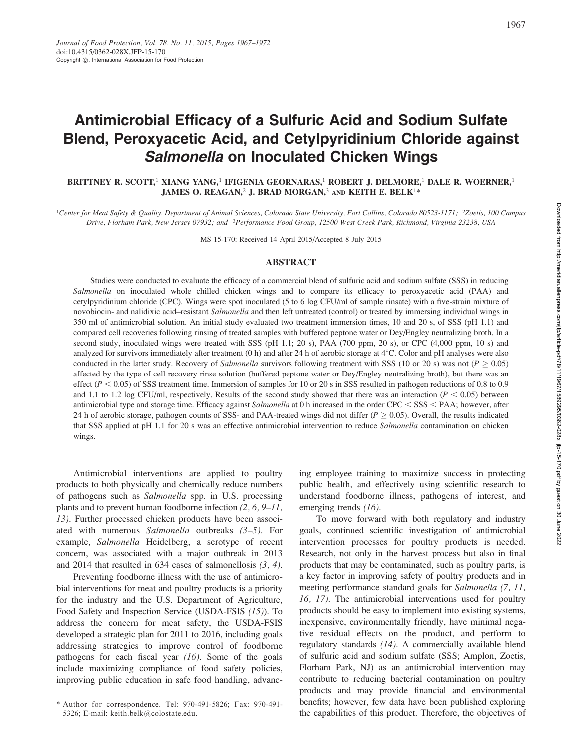# Antimicrobial Efficacy of a Sulfuric Acid and Sodium Sulfate Blend, Peroxyacetic Acid, and Cetylpyridinium Chloride against Salmonella on Inoculated Chicken Wings

BRITTNEY R. SCOTT,<sup>1</sup> XIANG YANG,<sup>1</sup> IFIGENIA GEORNARAS,<sup>1</sup> ROBERT J. DELMORE,<sup>1</sup> DALE R. WOERNER,<sup>1</sup> JAMES O. REAGAN,<sup>2</sup> J. BRAD MORGAN,<sup>3</sup> AND KEITH E. BELK<sup>1\*</sup>

<sup>1</sup>Center for Meat Safety & Quality, Department of Animal Sciences, Colorado State University, Fort Collins, Colorado 80523-1171; <sup>2</sup>Zoetis, 100 Campus Drive, Florham Park, New Jersey 07932; and <sup>3</sup>Performance Food Group, 12500 West Creek Park, Richmond, Virginia 23238, USA

MS 15-170: Received 14 April 2015/Accepted 8 July 2015

### ABSTRACT

Studies were conducted to evaluate the efficacy of a commercial blend of sulfuric acid and sodium sulfate (SSS) in reducing Salmonella on inoculated whole chilled chicken wings and to compare its efficacy to peroxyacetic acid (PAA) and cetylpyridinium chloride (CPC). Wings were spot inoculated (5 to 6 log CFU/ml of sample rinsate) with a five-strain mixture of novobiocin- and nalidixic acid–resistant Salmonella and then left untreated (control) or treated by immersing individual wings in 350 ml of antimicrobial solution. An initial study evaluated two treatment immersion times, 10 and 20 s, of SSS (pH 1.1) and compared cell recoveries following rinsing of treated samples with buffered peptone water or Dey/Engley neutralizing broth. In a second study, inoculated wings were treated with SSS (pH 1.1; 20 s), PAA (700 ppm, 20 s), or CPC (4,000 ppm, 10 s) and analyzed for survivors immediately after treatment (0 h) and after 24 h of aerobic storage at  $4^{\circ}$ C. Color and pH analyses were also conducted in the latter study. Recovery of *Salmonella* survivors following treatment with SSS (10 or 20 s) was not ( $P \ge 0.05$ ) affected by the type of cell recovery rinse solution (buffered peptone water or Dey/Engley neutralizing broth), but there was an effect ( $P < 0.05$ ) of SSS treatment time. Immersion of samples for 10 or 20 s in SSS resulted in pathogen reductions of 0.8 to 0.9 and 1.1 to 1.2 log CFU/ml, respectively. Results of the second study showed that there was an interaction ( $P < 0.05$ ) between antimicrobial type and storage time. Efficacy against Salmonella at 0 h increased in the order CPC < SSS < PAA; however, after 24 h of aerobic storage, pathogen counts of SSS- and PAA-treated wings did not differ ( $P \ge 0.05$ ). Overall, the results indicated that SSS applied at pH 1.1 for 20 s was an effective antimicrobial intervention to reduce Salmonella contamination on chicken wings.

Antimicrobial interventions are applied to poultry products to both physically and chemically reduce numbers of pathogens such as Salmonella spp. in U.S. processing plants and to prevent human foodborne infection (2, 6, 9–11, 13). Further processed chicken products have been associated with numerous Salmonella outbreaks  $(3-5)$ . For example, Salmonella Heidelberg, a serotype of recent concern, was associated with a major outbreak in 2013 and 2014 that resulted in 634 cases of salmonellosis (3, 4).

Preventing foodborne illness with the use of antimicrobial interventions for meat and poultry products is a priority for the industry and the U.S. Department of Agriculture, Food Safety and Inspection Service (USDA-FSIS (15)). To address the concern for meat safety, the USDA-FSIS developed a strategic plan for 2011 to 2016, including goals addressing strategies to improve control of foodborne pathogens for each fiscal year (16). Some of the goals include maximizing compliance of food safety policies, improving public education in safe food handling, advancing employee training to maximize success in protecting public health, and effectively using scientific research to understand foodborne illness, pathogens of interest, and emerging trends (16).

To move forward with both regulatory and industry goals, continued scientific investigation of antimicrobial intervention processes for poultry products is needed. Research, not only in the harvest process but also in final products that may be contaminated, such as poultry parts, is a key factor in improving safety of poultry products and in meeting performance standard goals for Salmonella (7, 11, 16, 17). The antimicrobial interventions used for poultry products should be easy to implement into existing systems, inexpensive, environmentally friendly, have minimal negative residual effects on the product, and perform to regulatory standards (14). A commercially available blend of sulfuric acid and sodium sulfate (SSS; Amplon, Zoetis, Florham Park, NJ) as an antimicrobial intervention may contribute to reducing bacterial contamination on poultry products and may provide financial and environmental benefits; however, few data have been published exploring the capabilities of this product. Therefore, the objectives of

<sup>\*</sup> Author for correspondence. Tel: 970-491-5826; Fax: 970-491- 5326; E-mail: keith.belk@colostate.edu.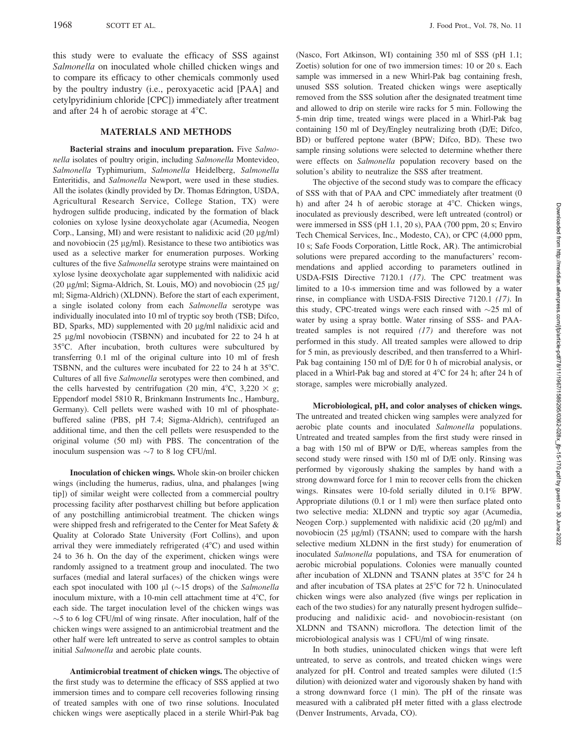this study were to evaluate the efficacy of SSS against Salmonella on inoculated whole chilled chicken wings and to compare its efficacy to other chemicals commonly used by the poultry industry (i.e., peroxyacetic acid [PAA] and cetylpyridinium chloride [CPC]) immediately after treatment and after 24 h of aerobic storage at  $4^{\circ}$ C.

#### MATERIALS AND METHODS

Bacterial strains and inoculum preparation. Five Salmonella isolates of poultry origin, including Salmonella Montevideo, Salmonella Typhimurium, Salmonella Heidelberg, Salmonella Enteritidis, and Salmonella Newport, were used in these studies. All the isolates (kindly provided by Dr. Thomas Edrington, USDA, Agricultural Research Service, College Station, TX) were hydrogen sulfide producing, indicated by the formation of black colonies on xylose lysine deoxycholate agar (Acumedia, Neogen Corp., Lansing, MI) and were resistant to nalidixic acid  $(20 \mu g/ml)$ and novobiocin (25  $\mu$ g/ml). Resistance to these two antibiotics was used as a selective marker for enumeration purposes. Working cultures of the five Salmonella serotype strains were maintained on xylose lysine deoxycholate agar supplemented with nalidixic acid (20  $\mu$ g/ml; Sigma-Aldrich, St. Louis, MO) and novobiocin (25  $\mu$ g/ ml; Sigma-Aldrich) (XLDNN). Before the start of each experiment, a single isolated colony from each Salmonella serotype was individually inoculated into 10 ml of tryptic soy broth (TSB; Difco, BD, Sparks, MD) supplemented with 20 µg/ml nalidixic acid and 25 lg/ml novobiocin (TSBNN) and incubated for 22 to 24 h at 35°C. After incubation, broth cultures were subcultured by transferring 0.1 ml of the original culture into 10 ml of fresh TSBNN, and the cultures were incubated for 22 to 24 h at  $35^{\circ}$ C. Cultures of all five Salmonella serotypes were then combined, and the cells harvested by centrifugation (20 min, 4°C, 3,220  $\times$  g; Eppendorf model 5810 R, Brinkmann Instruments Inc., Hamburg, Germany). Cell pellets were washed with 10 ml of phosphatebuffered saline (PBS, pH 7.4; Sigma-Aldrich), centrifuged an additional time, and then the cell pellets were resuspended to the original volume (50 ml) with PBS. The concentration of the inoculum suspension was  $\sim$ 7 to 8 log CFU/ml.

Inoculation of chicken wings. Whole skin-on broiler chicken wings (including the humerus, radius, ulna, and phalanges [wing tip]) of similar weight were collected from a commercial poultry processing facility after postharvest chilling but before application of any postchilling antimicrobial treatment. The chicken wings were shipped fresh and refrigerated to the Center for Meat Safety & Quality at Colorado State University (Fort Collins), and upon arrival they were immediately refrigerated  $(4^{\circ}C)$  and used within 24 to 36 h. On the day of the experiment, chicken wings were randomly assigned to a treatment group and inoculated. The two surfaces (medial and lateral surfaces) of the chicken wings were each spot inoculated with 100  $\mu$ l (~15 drops) of the Salmonella inoculum mixture, with a 10-min cell attachment time at  $4^{\circ}C$ , for each side. The target inoculation level of the chicken wings was  $\sim$ 5 to 6 log CFU/ml of wing rinsate. After inoculation, half of the chicken wings were assigned to an antimicrobial treatment and the other half were left untreated to serve as control samples to obtain initial Salmonella and aerobic plate counts.

Antimicrobial treatment of chicken wings. The objective of the first study was to determine the efficacy of SSS applied at two immersion times and to compare cell recoveries following rinsing of treated samples with one of two rinse solutions. Inoculated chicken wings were aseptically placed in a sterile Whirl-Pak bag (Nasco, Fort Atkinson, WI) containing 350 ml of SSS (pH 1.1; Zoetis) solution for one of two immersion times: 10 or 20 s. Each sample was immersed in a new Whirl-Pak bag containing fresh, unused SSS solution. Treated chicken wings were aseptically removed from the SSS solution after the designated treatment time and allowed to drip on sterile wire racks for 5 min. Following the 5-min drip time, treated wings were placed in a Whirl-Pak bag containing 150 ml of Dey/Engley neutralizing broth (D/E; Difco, BD) or buffered peptone water (BPW; Difco, BD). These two sample rinsing solutions were selected to determine whether there were effects on Salmonella population recovery based on the solution's ability to neutralize the SSS after treatment.

The objective of the second study was to compare the efficacy of SSS with that of PAA and CPC immediately after treatment (0 h) and after 24 h of aerobic storage at  $4^{\circ}$ C. Chicken wings, inoculated as previously described, were left untreated (control) or were immersed in SSS (pH 1.1, 20 s), PAA (700 ppm, 20 s; Enviro Tech Chemical Services, Inc., Modesto, CA), or CPC (4,000 ppm, 10 s; Safe Foods Corporation, Little Rock, AR). The antimicrobial solutions were prepared according to the manufacturers' recommendations and applied according to parameters outlined in USDA-FSIS Directive 7120.1 (17). The CPC treatment was limited to a 10-s immersion time and was followed by a water rinse, in compliance with USDA-FSIS Directive 7120.1 (17). In this study, CPC-treated wings were each rinsed with  $\sim$ 25 ml of water by using a spray bottle. Water rinsing of SSS- and PAAtreated samples is not required (17) and therefore was not performed in this study. All treated samples were allowed to drip for 5 min, as previously described, and then transferred to a Whirl-Pak bag containing 150 ml of D/E for 0 h of microbial analysis, or placed in a Whirl-Pak bag and stored at 4°C for 24 h; after 24 h of storage, samples were microbially analyzed.

Microbiological, pH, and color analyses of chicken wings. The untreated and treated chicken wing samples were analyzed for aerobic plate counts and inoculated Salmonella populations. Untreated and treated samples from the first study were rinsed in a bag with 150 ml of BPW or D/E, whereas samples from the second study were rinsed with 150 ml of D/E only. Rinsing was performed by vigorously shaking the samples by hand with a strong downward force for 1 min to recover cells from the chicken wings. Rinsates were 10-fold serially diluted in 0.1% BPW. Appropriate dilutions (0.1 or 1 ml) were then surface plated onto two selective media: XLDNN and tryptic soy agar (Acumedia, Neogen Corp.) supplemented with nalidixic acid  $(20 \mu g/ml)$  and novobiocin  $(25 \mu g/ml)$  (TSANN; used to compare with the harsh selective medium XLDNN in the first study) for enumeration of inoculated Salmonella populations, and TSA for enumeration of aerobic microbial populations. Colonies were manually counted after incubation of XLDNN and TSANN plates at  $35^{\circ}$ C for 24 h and after incubation of TSA plates at  $25^{\circ}$ C for 72 h. Uninoculated chicken wings were also analyzed (five wings per replication in each of the two studies) for any naturally present hydrogen sulfide– producing and nalidixic acid- and novobiocin-resistant (on XLDNN and TSANN) microflora. The detection limit of the microbiological analysis was 1 CFU/ml of wing rinsate.

In both studies, uninoculated chicken wings that were left untreated, to serve as controls, and treated chicken wings were analyzed for pH. Control and treated samples were diluted (1:5 dilution) with deionized water and vigorously shaken by hand with a strong downward force (1 min). The pH of the rinsate was measured with a calibrated pH meter fitted with a glass electrode (Denver Instruments, Arvada, CO).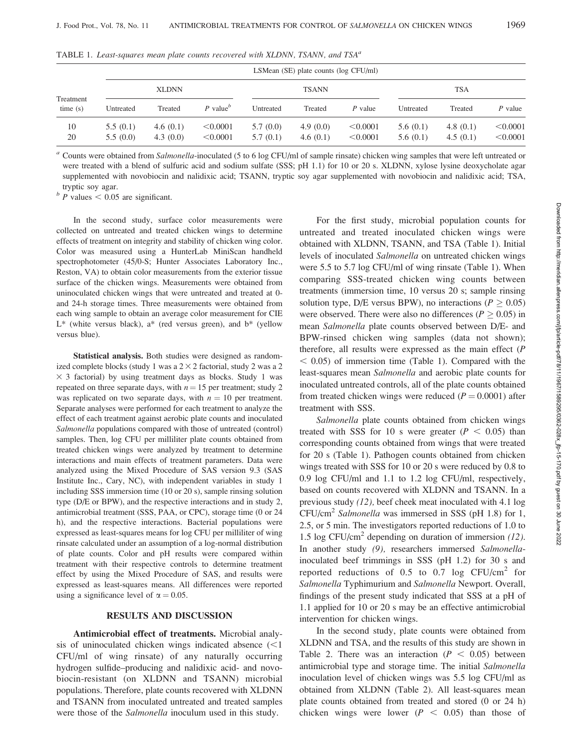| Treatment<br>time(s) |                      | LSMean $(SE)$ plate counts $(log CFU/ml)$ |                      |                      |                      |                      |                      |                         |                      |  |
|----------------------|----------------------|-------------------------------------------|----------------------|----------------------|----------------------|----------------------|----------------------|-------------------------|----------------------|--|
|                      | <b>XLDNN</b>         |                                           |                      | <b>TSANN</b>         |                      |                      | <b>TSA</b>           |                         |                      |  |
|                      | Untreated            | Treated                                   | P value <sup>b</sup> | Untreated            | Treated              | P value              | Untreated            | Treated                 | P value              |  |
| 10<br>20             | 5.5(0.1)<br>5.5(0.0) | 4.6 $(0.1)$<br>4.3 $(0.0)$                | < 0.0001<br>< 0.0001 | 5.7(0.0)<br>5.7(0.1) | 4.9(0.0)<br>4.6(0.1) | < 0.0001<br>< 0.0001 | 5.6(0.1)<br>5.6(0.1) | 4.8 $(0.1)$<br>4.5(0.1) | < 0.0001<br>< 0.0001 |  |

TABLE 1. Least-squares mean plate counts recovered with XLDNN, TSANN, and  $TSA<sup>a</sup>$ 

<sup>a</sup> Counts were obtained from Salmonella-inoculated (5 to 6 log CFU/ml of sample rinsate) chicken wing samples that were left untreated or were treated with a blend of sulfuric acid and sodium sulfate (SSS; pH 1.1) for 10 or 20 s. XLDNN, xylose lysine deoxycholate agar supplemented with novobiocin and nalidixic acid; TSANN, tryptic soy agar supplemented with novobiocin and nalidixic acid; TSA, tryptic soy agar.

 $b$  P values  $< 0.05$  are significant.

In the second study, surface color measurements were collected on untreated and treated chicken wings to determine effects of treatment on integrity and stability of chicken wing color. Color was measured using a HunterLab MiniScan handheld spectrophotometer (45/0-S; Hunter Associates Laboratory Inc., Reston, VA) to obtain color measurements from the exterior tissue surface of the chicken wings. Measurements were obtained from uninoculated chicken wings that were untreated and treated at 0 and 24-h storage times. Three measurements were obtained from each wing sample to obtain an average color measurement for CIE  $L^*$  (white versus black),  $a^*$  (red versus green), and  $b^*$  (yellow versus blue).

Statistical analysis. Both studies were designed as randomized complete blocks (study 1 was a  $2 \times 2$  factorial, study 2 was a 2  $\times$  3 factorial) by using treatment days as blocks. Study 1 was repeated on three separate days, with  $n = 15$  per treatment; study 2 was replicated on two separate days, with  $n = 10$  per treatment. Separate analyses were performed for each treatment to analyze the effect of each treatment against aerobic plate counts and inoculated Salmonella populations compared with those of untreated (control) samples. Then, log CFU per milliliter plate counts obtained from treated chicken wings were analyzed by treatment to determine interactions and main effects of treatment parameters. Data were analyzed using the Mixed Procedure of SAS version 9.3 (SAS Institute Inc., Cary, NC), with independent variables in study 1 including SSS immersion time (10 or 20 s), sample rinsing solution type (D/E or BPW), and the respective interactions and in study 2, antimicrobial treatment (SSS, PAA, or CPC), storage time (0 or 24 h), and the respective interactions. Bacterial populations were expressed as least-squares means for log CFU per milliliter of wing rinsate calculated under an assumption of a log-normal distribution of plate counts. Color and pH results were compared within treatment with their respective controls to determine treatment effect by using the Mixed Procedure of SAS, and results were expressed as least-squares means. All differences were reported using a significance level of  $\alpha = 0.05$ .

#### RESULTS AND DISCUSSION

Antimicrobial effect of treatments. Microbial analysis of uninoculated chicken wings indicated absence  $\leq 1$ CFU/ml of wing rinsate) of any naturally occurring hydrogen sulfide–producing and nalidixic acid- and novobiocin-resistant (on XLDNN and TSANN) microbial populations. Therefore, plate counts recovered with XLDNN and TSANN from inoculated untreated and treated samples were those of the *Salmonella* inoculum used in this study.

For the first study, microbial population counts for untreated and treated inoculated chicken wings were obtained with XLDNN, TSANN, and TSA (Table 1). Initial levels of inoculated Salmonella on untreated chicken wings were 5.5 to 5.7 log CFU/ml of wing rinsate (Table 1). When comparing SSS-treated chicken wing counts between treatments (immersion time, 10 versus 20 s; sample rinsing solution type, D/E versus BPW), no interactions ( $P \ge 0.05$ ) were observed. There were also no differences ( $P \ge 0.05$ ) in mean Salmonella plate counts observed between D/E- and BPW-rinsed chicken wing samples (data not shown); therefore, all results were expressed as the main effect (P  $< 0.05$ ) of immersion time (Table 1). Compared with the least-squares mean Salmonella and aerobic plate counts for inoculated untreated controls, all of the plate counts obtained from treated chicken wings were reduced  $(P = 0.0001)$  after treatment with SSS.

Salmonella plate counts obtained from chicken wings treated with SSS for 10 s were greater ( $P < 0.05$ ) than corresponding counts obtained from wings that were treated for 20 s (Table 1). Pathogen counts obtained from chicken wings treated with SSS for 10 or 20 s were reduced by 0.8 to 0.9 log CFU/ml and 1.1 to 1.2 log CFU/ml, respectively, based on counts recovered with XLDNN and TSANN. In a previous study (12), beef cheek meat inoculated with 4.1 log  $CFU/cm<sup>2</sup> Salmonella was immersed in SSS (pH 1.8) for 1,$ 2.5, or 5 min. The investigators reported reductions of 1.0 to 1.5 log CFU/cm<sup>2</sup> depending on duration of immersion  $(12)$ . In another study (9), researchers immersed Salmonellainoculated beef trimmings in SSS (pH 1.2) for 30 s and reported reductions of  $0.5$  to  $0.7 \log \text{CFU/cm}^2$  for Salmonella Typhimurium and Salmonella Newport. Overall, findings of the present study indicated that SSS at a pH of 1.1 applied for 10 or 20 s may be an effective antimicrobial intervention for chicken wings.

In the second study, plate counts were obtained from XLDNN and TSA, and the results of this study are shown in Table 2. There was an interaction ( $P < 0.05$ ) between antimicrobial type and storage time. The initial Salmonella inoculation level of chicken wings was 5.5 log CFU/ml as obtained from XLDNN (Table 2). All least-squares mean plate counts obtained from treated and stored (0 or 24 h) chicken wings were lower ( $P < 0.05$ ) than those of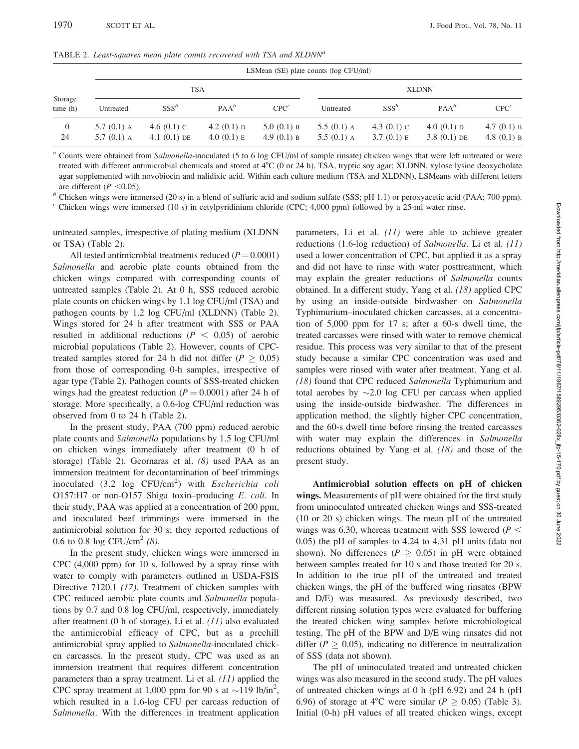TABLE 2. Least-squares mean plate counts recovered with TSA and XLDNN<sup>a</sup>

|                      |                                | LSMean (SE) plate counts (log CFU/ml) |                                |                                |                                |                                |                                |                                |  |
|----------------------|--------------------------------|---------------------------------------|--------------------------------|--------------------------------|--------------------------------|--------------------------------|--------------------------------|--------------------------------|--|
| Storage<br>time(h)   | <b>TSA</b>                     |                                       |                                |                                | <b>XLDNN</b>                   |                                |                                |                                |  |
|                      | Untreated                      | $SSS^b$                               | $PAA^b$                        | CPC <sup>c</sup>               | Untreated                      | $SSS^b$                        | $PAA^b$                        | CPC <sup>c</sup>               |  |
| $\overline{0}$<br>24 | 5.7 $(0.1)$ A<br>5.7 $(0.1)$ A | 4.6 $(0.1)$ C<br>4.1 $(0.1)$ DE       | 4.2 $(0.1)$ D<br>4.0 $(0.1)$ E | 5.0 $(0.1)$ B<br>4.9 $(0.1)$ B | 5.5 $(0.1)$ A<br>5.5 $(0.1)$ A | 4.3 $(0.1)$ C<br>3.7 $(0.1)$ E | 4.0 $(0.1)$ D<br>$3.8(0.1)$ DE | 4.7 $(0.1)$ B<br>4.8 $(0.1)$ B |  |

<sup>a</sup> Counts were obtained from Salmonella-inoculated (5 to 6 log CFU/ml of sample rinsate) chicken wings that were left untreated or were treated with different antimicrobial chemicals and stored at 4°C (0 or 24 h). TSA, tryptic soy agar; XLDNN, xylose lysine deoxycholate agar supplemented with novobiocin and nalidixic acid. Within each culture medium (TSA and XLDNN), LSMeans with different letters are different (P <0.05). b Chicken wings were immersed (20 s) in a blend of sulfuric acid and sodium sulfate (SSS; pH 1.1) or peroxyacetic acid (PAA; 700 ppm).

 $c$  Chicken wings were immersed (10 s) in cetylpyridinium chloride (CPC; 4,000 ppm) followed by a 25-ml water rinse.

untreated samples, irrespective of plating medium (XLDNN or TSA) (Table 2).

All tested antimicrobial treatments reduced  $(P = 0.0001)$ Salmonella and aerobic plate counts obtained from the chicken wings compared with corresponding counts of untreated samples (Table 2). At 0 h, SSS reduced aerobic plate counts on chicken wings by 1.1 log CFU/ml (TSA) and pathogen counts by 1.2 log CFU/ml (XLDNN) (Table 2). Wings stored for 24 h after treatment with SSS or PAA resulted in additional reductions ( $P < 0.05$ ) of aerobic microbial populations (Table 2). However, counts of CPCtreated samples stored for 24 h did not differ ( $P \ge 0.05$ ) from those of corresponding 0-h samples, irrespective of agar type (Table 2). Pathogen counts of SSS-treated chicken wings had the greatest reduction ( $P = 0.0001$ ) after 24 h of storage. More specifically, a 0.6-log CFU/ml reduction was observed from 0 to 24 h (Table 2).

In the present study, PAA (700 ppm) reduced aerobic plate counts and Salmonella populations by 1.5 log CFU/ml on chicken wings immediately after treatment (0 h of storage) (Table 2). Geornaras et al. (8) used PAA as an immersion treatment for decontamination of beef trimmings inoculated  $(3.2 \text{ log } CFU/cm^2)$  with *Escherichia coli* O157:H7 or non-O157 Shiga toxin–producing E. coli. In their study, PAA was applied at a concentration of 200 ppm, and inoculated beef trimmings were immersed in the antimicrobial solution for 30 s; they reported reductions of 0.6 to 0.8 log CFU/cm<sup>2</sup> (8).

In the present study, chicken wings were immersed in CPC (4,000 ppm) for 10 s, followed by a spray rinse with water to comply with parameters outlined in USDA-FSIS Directive 7120.1 (17). Treatment of chicken samples with CPC reduced aerobic plate counts and Salmonella populations by 0.7 and 0.8 log CFU/ml, respectively, immediately after treatment (0 h of storage). Li et al. (11) also evaluated the antimicrobial efficacy of CPC, but as a prechill antimicrobial spray applied to Salmonella-inoculated chicken carcasses. In the present study, CPC was used as an immersion treatment that requires different concentration parameters than a spray treatment. Li et al.  $(11)$  applied the CPC spray treatment at 1,000 ppm for 90 s at  $\sim$ 119 lb/in<sup>2</sup>, which resulted in a 1.6-log CFU per carcass reduction of Salmonella. With the differences in treatment application parameters, Li et al.  $(11)$  were able to achieve greater reductions (1.6-log reduction) of Salmonella. Li et al. (11) used a lower concentration of CPC, but applied it as a spray and did not have to rinse with water posttreatment, which may explain the greater reductions of Salmonella counts obtained. In a different study, Yang et al. (18) applied CPC by using an inside-outside birdwasher on Salmonella Typhimurium–inoculated chicken carcasses, at a concentration of 5,000 ppm for 17 s; after a 60-s dwell time, the treated carcasses were rinsed with water to remove chemical residue. This process was very similar to that of the present study because a similar CPC concentration was used and samples were rinsed with water after treatment. Yang et al. (18) found that CPC reduced Salmonella Typhimurium and total aerobes by  $\sim$ 2.0 log CFU per carcass when applied using the inside-outside birdwasher. The differences in application method, the slightly higher CPC concentration, and the 60-s dwell time before rinsing the treated carcasses with water may explain the differences in Salmonella reductions obtained by Yang et al. (18) and those of the present study.

Antimicrobial solution effects on pH of chicken wings. Measurements of pH were obtained for the first study from uninoculated untreated chicken wings and SSS-treated (10 or 20 s) chicken wings. The mean pH of the untreated wings was 6.30, whereas treatment with SSS lowered ( $P <$ 0.05) the pH of samples to 4.24 to 4.31 pH units (data not shown). No differences ( $P \geq 0.05$ ) in pH were obtained between samples treated for 10 s and those treated for 20 s. In addition to the true pH of the untreated and treated chicken wings, the pH of the buffered wing rinsates (BPW and D/E) was measured. As previously described, two different rinsing solution types were evaluated for buffering the treated chicken wing samples before microbiological testing. The pH of the BPW and D/E wing rinsates did not differ ( $P \geq 0.05$ ), indicating no difference in neutralization of SSS (data not shown).

The pH of uninoculated treated and untreated chicken wings was also measured in the second study. The pH values of untreated chicken wings at 0 h (pH 6.92) and 24 h (pH 6.96) of storage at 4°C were similar ( $P \ge 0.05$ ) (Table 3). Initial (0-h) pH values of all treated chicken wings, except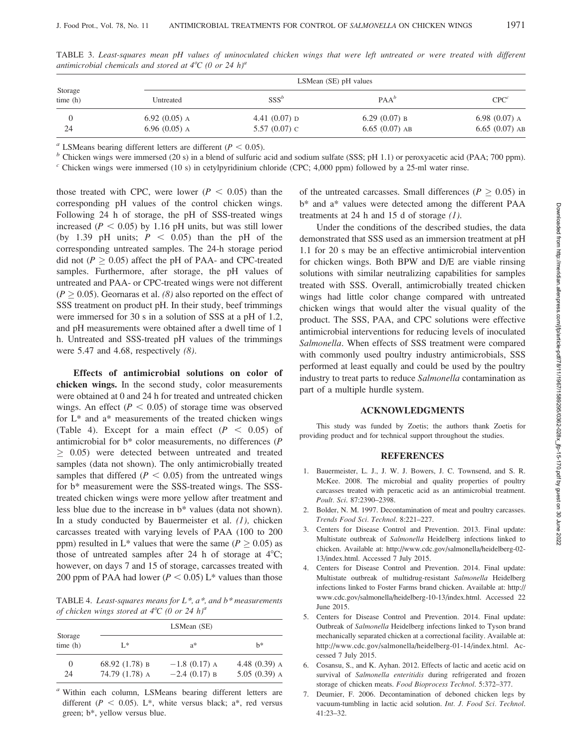| Storage<br>time(h) |                 | LSMean (SE) pH values |                 |                  |  |  |  |  |
|--------------------|-----------------|-----------------------|-----------------|------------------|--|--|--|--|
|                    | Untreated       | $SSS^b$               | $PAA^b$         | CPC <sup>c</sup> |  |  |  |  |
|                    | 6.92 $(0.05)$ A | 4.41 $(0.07)$ D       | $6.29(0.07)$ B  | $6.98(0.07)$ A   |  |  |  |  |
| 24                 | 6.96 $(0.05)$ A | 5.57 $(0.07)$ C       | $6.65(0.07)$ AB | $6.65(0.07)$ AB  |  |  |  |  |

TABLE 3. Least-squares mean pH values of uninoculated chicken wings that were left untreated or were treated with different antimicrobial chemicals and stored at  $4^{\circ}C$  (0 or 24 h)<sup>a</sup>

<sup>a</sup> LSMeans bearing different letters are different ( $P < 0.05$ ). <br><sup>b</sup> Chicken wings were immersed (20 s) in a blend of sulfuric acid and sodium sulfate (SSS; pH 1.1) or peroxyacetic acid (PAA; 700 ppm).

 $c$  Chicken wings were immersed (10 s) in cetylpyridinium chloride (CPC; 4,000 ppm) followed by a 25-ml water rinse.

those treated with CPC, were lower ( $P < 0.05$ ) than the corresponding pH values of the control chicken wings. Following 24 h of storage, the pH of SSS-treated wings increased ( $P < 0.05$ ) by 1.16 pH units, but was still lower (by 1.39 pH units;  $P \le 0.05$ ) than the pH of the corresponding untreated samples. The 24-h storage period did not ( $P \ge 0.05$ ) affect the pH of PAA- and CPC-treated samples. Furthermore, after storage, the pH values of untreated and PAA- or CPC-treated wings were not different  $(P \ge 0.05)$ . Geornaras et al. (8) also reported on the effect of SSS treatment on product pH. In their study, beef trimmings were immersed for 30 s in a solution of SSS at a pH of 1.2, and pH measurements were obtained after a dwell time of 1 h. Untreated and SSS-treated pH values of the trimmings were 5.47 and 4.68, respectively  $(8)$ .

Effects of antimicrobial solutions on color of chicken wings. In the second study, color measurements were obtained at 0 and 24 h for treated and untreated chicken wings. An effect ( $P < 0.05$ ) of storage time was observed for  $L^*$  and  $a^*$  measurements of the treated chicken wings (Table 4). Except for a main effect  $(P < 0.05)$  of antimicrobial for b\* color measurements, no differences (P  $\geq$  0.05) were detected between untreated and treated samples (data not shown). The only antimicrobially treated samples that differed ( $P < 0.05$ ) from the untreated wings for b\* measurement were the SSS-treated wings. The SSStreated chicken wings were more yellow after treatment and less blue due to the increase in b\* values (data not shown). In a study conducted by Bauermeister et al.  $(1)$ , chicken carcasses treated with varying levels of PAA (100 to 200 ppm) resulted in L<sup>\*</sup> values that were the same ( $P \ge 0.05$ ) as those of untreated samples after 24 h of storage at  $4^{\circ}C$ ; however, on days 7 and 15 of storage, carcasses treated with 200 ppm of PAA had lower ( $P < 0.05$ ) L\* values than those

TABLE 4. Least-squares means for  $L^*$ ,  $a^*$ , and  $b^*$  measurements of chicken wings stored at  $4^{\circ}C$  (0 or 24 h)<sup>a</sup>

| Storage<br>time(h) | LSMean (SE)      |                 |                 |  |  |  |
|--------------------|------------------|-----------------|-----------------|--|--|--|
|                    | L*               | $a^*$           | h*              |  |  |  |
| $\theta$           | 68.92 $(1.78)$ B | $-1.8$ (0.17) A | 4.48 $(0.39)$ A |  |  |  |
| 24                 | 74.79 (1.78) A   | $-2.4$ (0.17) B | $5.05(0.39)$ A  |  |  |  |

<sup>a</sup> Within each column, LSMeans bearing different letters are different ( $P < 0.05$ ). L<sup>\*</sup>, white versus black; a<sup>\*</sup>, red versus green; b\*, yellow versus blue.

of the untreated carcasses. Small differences ( $P \geq 0.05$ ) in b\* and a\* values were detected among the different PAA treatments at 24 h and 15 d of storage  $(1)$ .

Under the conditions of the described studies, the data demonstrated that SSS used as an immersion treatment at pH 1.1 for 20 s may be an effective antimicrobial intervention for chicken wings. Both BPW and D/E are viable rinsing solutions with similar neutralizing capabilities for samples treated with SSS. Overall, antimicrobially treated chicken wings had little color change compared with untreated chicken wings that would alter the visual quality of the product. The SSS, PAA, and CPC solutions were effective antimicrobial interventions for reducing levels of inoculated Salmonella. When effects of SSS treatment were compared with commonly used poultry industry antimicrobials, SSS performed at least equally and could be used by the poultry industry to treat parts to reduce Salmonella contamination as part of a multiple hurdle system.

## ACKNOWLEDGMENTS

This study was funded by Zoetis; the authors thank Zoetis for providing product and for technical support throughout the studies.

#### **REFERENCES**

- 1. Bauermeister, L. J., J. W. J. Bowers, J. C. Townsend, and S. R. McKee. 2008. The microbial and quality properties of poultry carcasses treated with peracetic acid as an antimicrobial treatment. Poult. Sci. 87:2390–2398.
- 2. Bolder, N. M. 1997. Decontamination of meat and poultry carcasses. Trends Food Sci. Technol. 8:221–227.
- 3. Centers for Disease Control and Prevention. 2013. Final update: Multistate outbreak of Salmonella Heidelberg infections linked to chicken. Available at: http://www.cdc.gov/salmonella/heidelberg-02- 13/index.html. Accessed 7 July 2015.
- 4. Centers for Disease Control and Prevention. 2014. Final update: Multistate outbreak of multidrug-resistant Salmonella Heidelberg infections linked to Foster Farms brand chicken. Available at: http:// www.cdc.gov/salmonella/heidelberg-10-13/index.html. Accessed 22 June 2015.
- 5. Centers for Disease Control and Prevention. 2014. Final update: Outbreak of Salmonella Heidelberg infections linked to Tyson brand mechanically separated chicken at a correctional facility. Available at: http://www.cdc.gov/salmonella/heidelberg-01-14/index.html. Accessed 7 July 2015.
- 6. Cosansu, S., and K. Ayhan. 2012. Effects of lactic and acetic acid on survival of Salmonella enteritidis during refrigerated and frozen storage of chicken meats. Food Bioprocess Technol. 5:372–377.
- 7. Deumier, F. 2006. Decontamination of deboned chicken legs by vacuum-tumbling in lactic acid solution. Int. J. Food Sci. Technol. 41:23–32.